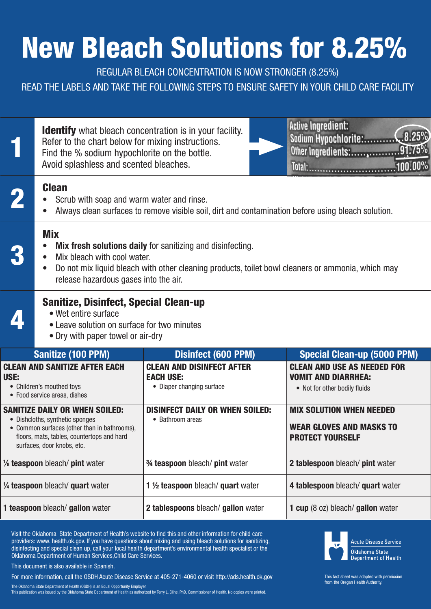## New Bleach Solutions for 8.25%

REGULAR BLEACH CONCENTRATION IS NOW STRONGER (8.25%)

READ THE LABELS AND TAKE THE FOLLOWING STEPS TO ENSURE SAFETY IN YOUR CHILD CARE FACILITY

|                                                                                                                                                                                                      | <b>Identify</b> what bleach concentration is in your facility.<br>Refer to the chart below for mixing instructions.<br>Find the % sodium hypochlorite on the bottle.<br>Avoid splashless and scented bleaches. |                                                                                   | <b>Active Ingredient:</b><br>.8.25%<br>Sodium Hypochlorite:<br>91.75%<br>Other Ingredients:<br>100.00%<br>Total: |  |  |
|------------------------------------------------------------------------------------------------------------------------------------------------------------------------------------------------------|----------------------------------------------------------------------------------------------------------------------------------------------------------------------------------------------------------------|-----------------------------------------------------------------------------------|------------------------------------------------------------------------------------------------------------------|--|--|
|                                                                                                                                                                                                      | <b>Clean</b><br>Scrub with soap and warm water and rinse.<br>Always clean surfaces to remove visible soil, dirt and contamination before using bleach solution.                                                |                                                                                   |                                                                                                                  |  |  |
|                                                                                                                                                                                                      | <b>Mix</b><br>Mix bleach with cool water.<br>$\bullet$<br>$\bullet$<br>release hazardous gases into the air.                                                                                                   | <b>Mix fresh solutions daily</b> for sanitizing and disinfecting.                 | Do not mix liquid bleach with other cleaning products, toilet bowl cleaners or ammonia, which may                |  |  |
|                                                                                                                                                                                                      | <b>Sanitize, Disinfect, Special Clean-up</b><br>• Wet entire surface<br>• Leave solution on surface for two minutes<br>• Dry with paper towel or air-dry                                                       |                                                                                   |                                                                                                                  |  |  |
|                                                                                                                                                                                                      | Sanitize (100 PPM)                                                                                                                                                                                             | Disinfect (600 PPM)                                                               | <b>Special Clean-up (5000 PPM)</b>                                                                               |  |  |
| <b>CLEAN AND SANITIZE AFTER EACH</b><br>USE:<br>• Children's mouthed toys<br>• Food service areas, dishes                                                                                            |                                                                                                                                                                                                                | <b>CLEAN AND DISINFECT AFTER</b><br><b>EACH USE:</b><br>• Diaper changing surface | <b>CLEAN AND USE AS NEEDED FOR</b><br><b>VOMIT AND DIARRHEA:</b><br>• Not for other bodily fluids                |  |  |
| <b>SANITIZE DAILY OR WHEN SOILED:</b><br>• Dishcloths, synthetic sponges<br>• Common surfaces (other than in bathrooms),<br>floors, mats, tables, countertops and hard<br>surfaces, door knobs, etc. |                                                                                                                                                                                                                | <b>DISINFECT DAILY OR WHEN SOILED:</b><br>• Bathroom areas                        | <b>MIX SOLUTION WHEN NEEDED</b><br><b>WEAR GLOVES AND MASKS TO</b><br><b>PROTECT YOURSELF</b>                    |  |  |
| 1/ <sub>8</sub> teaspoon bleach/ pint water                                                                                                                                                          |                                                                                                                                                                                                                | 3⁄4 teaspoon bleach/ pint water                                                   | 2 tablespoon bleach/ pint water                                                                                  |  |  |
| 1/4 teaspoon bleach/ quart water                                                                                                                                                                     |                                                                                                                                                                                                                | 1 1/2 teaspoon bleach/ quart water                                                | 4 tablespoon bleach/ quart water                                                                                 |  |  |
| 1 teaspoon bleach/ gallon water                                                                                                                                                                      |                                                                                                                                                                                                                | 2 tablespoons bleach/ gallon water                                                | 1 cup (8 oz) bleach/ gallon water                                                                                |  |  |

Visit the Oklahoma State Department of Health's website to find this and other information for child care providers: www. health.ok.gov. If you have questions about mixing and using bleach solutions for sanitizing, disinfecting and special clean up, call your local health department's environmental health specialist or the Oklahoma Department of Human Services,Child Care Services.

This document is also available in Spanish.

For more information, call the OSDH Acute Disease Service at 405-271-4060 or visit http://ads.health.ok.gov

The Oklahoma State Department of Health (OSDH) is an Equal Opportunity Employer.

This publication was issued by the Oklahoma State Department of Health as authorized by Terry L. Cline, PhD, Commissioner of Health. No copies were printed.



This fact sheet was adapted with permission from the Oregan Health Authority.